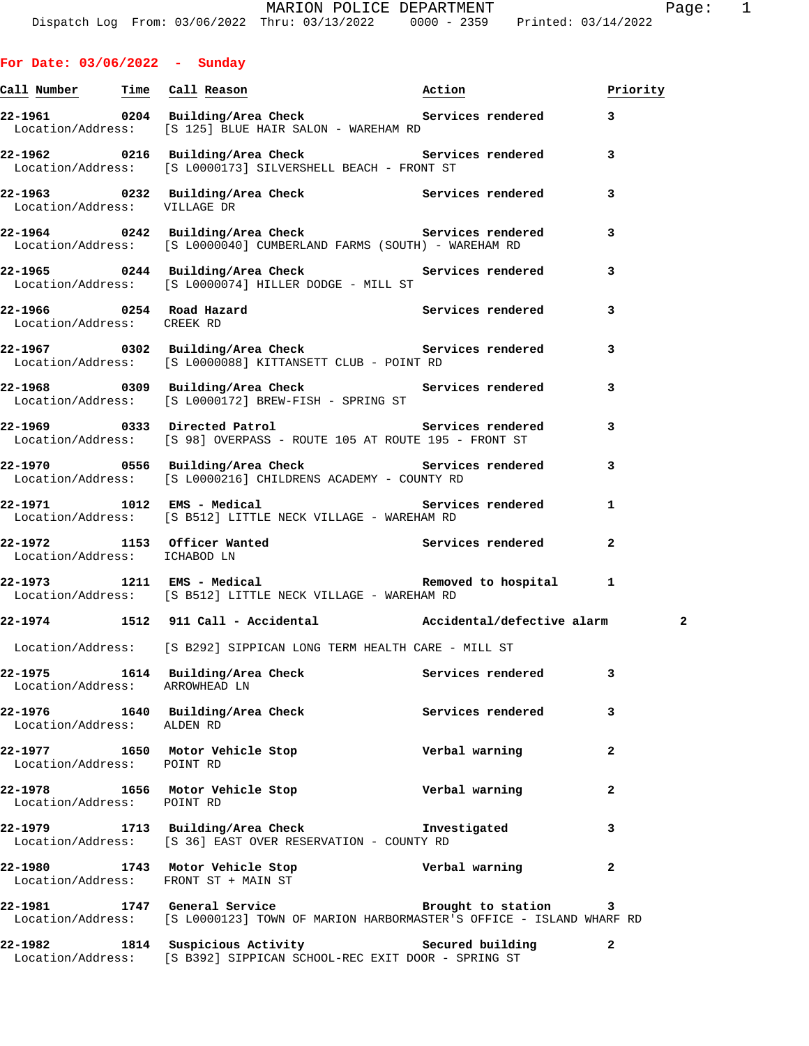| $\sim$ $\sim$ $\sim$ $\sim$    | parramy, m ca cheek<br>Location/Address: [S 125] BLUE HAIR SALON - WAREHAM RD                                                                                                |                |                         |
|--------------------------------|------------------------------------------------------------------------------------------------------------------------------------------------------------------------------|----------------|-------------------------|
|                                | Location/Address: [S L0000173] SILVERSHELL BEACH - FRONT ST                                                                                                                  |                |                         |
| Location/Address: VILLAGE DR   | 22-1963 0232 Building/Area Check Services rendered 3<br>Location/Admess: WILLAGE DP                                                                                          |                |                         |
|                                | Location/Address: [S L0000040] CUMBERLAND FARMS (SOUTH) - WAREHAM RD                                                                                                         |                | 3                       |
|                                | 22-1965 0244 Building/Area Check Services rendered<br>Location/Address: [S L0000074] HILLER DODGE - MILL ST                                                                  |                | 3                       |
| Location/Address: CREEK RD     | 22-1966 0254 Road Hazard Services rendered                                                                                                                                   |                | 3                       |
|                                | 22-1967 0302 Building/Area Check Services rendered<br>Location/Address: [S L0000088] KITTANSETT CLUB - POINT RD                                                              |                | 3                       |
|                                | 22-1968 0309 Building/Area Check Services rendered 3<br>Location/Address: [S L0000172] BREW-FISH - SPRING ST                                                                 |                |                         |
|                                | <br>22-1969            0333   Directed Patrol                                     Services rendered<br>Location/Address: [S 98] OVERPASS - ROUTE 105 AT ROUTE 195 - FRONT ST |                | 3                       |
|                                | 22-1970 0556 Building/Area Check 6 Services rendered 3<br>Location/Address: [S L0000216] CHILDRENS ACADEMY - COUNTY RD                                                       |                |                         |
|                                | 22-1971 1012 EMS - Medical 1996 1997 Services rendered<br>Location/Address: [S B512] LITTLE NECK VILLAGE - WAREHAM RD                                                        |                | $\mathbf{1}$            |
| Location/Address: ICHABOD LN   | 22-1972 1153 Officer Wanted Services rendered 2                                                                                                                              |                |                         |
|                                | Location/Address: [S B512] LITTLE NECK VILLAGE - WAREHAM RD                                                                                                                  |                |                         |
|                                | 22-1974 1512 911 Call - Accidental Maccidental/defective alarm                                                                                                               |                | $\overline{\mathbf{2}}$ |
|                                | Location/Address: [S B292] SIPPICAN LONG TERM HEALTH CARE - MILL ST                                                                                                          |                |                         |
| Location/Address: ARROWHEAD LN | 22-1975 1614 Building/Area Check 1997 Services rendered 3                                                                                                                    |                |                         |
| Location/Address: ALDEN RD     | 22-1976 1640 Building/Area Check Services rendered                                                                                                                           |                |                         |
| Location/Address: POINT RD     | 22-1977 1650 Motor Vehicle Stop                                                                                                                                              | Verbal warning | $\overline{a}$          |
| Location/Address: POINT RD     | 22-1978 1656 Motor Vehicle Stop                                                                                                                                              | Verbal warning | $\mathbf{2}$            |
|                                | 22-1979 1713 Building/Area Check 1nvestigated<br>Location/Address: [S 36] EAST OVER RESERVATION - COUNTY RD                                                                  |                | 3                       |
|                                | 22-1980 1743 Motor Vehicle Stop Nerbal warning<br>Location/Address: FRONT ST + MAIN ST                                                                                       |                | $\overline{a}$          |
|                                | 22-1981 1747 General Service 20 Brought to station<br>Location/Address: [S L0000123] TOWN OF MARION HARBORMASTER'S OFFICE - ISLAND WHARF RD                                  |                | 3                       |
| 22-1982                        | 1814 Suspicious Activity The Secured building<br>Location/Address: [S B392] SIPPICAN SCHOOL-REC EXIT DOOR - SPRING ST                                                        |                | $\mathbf{2}$            |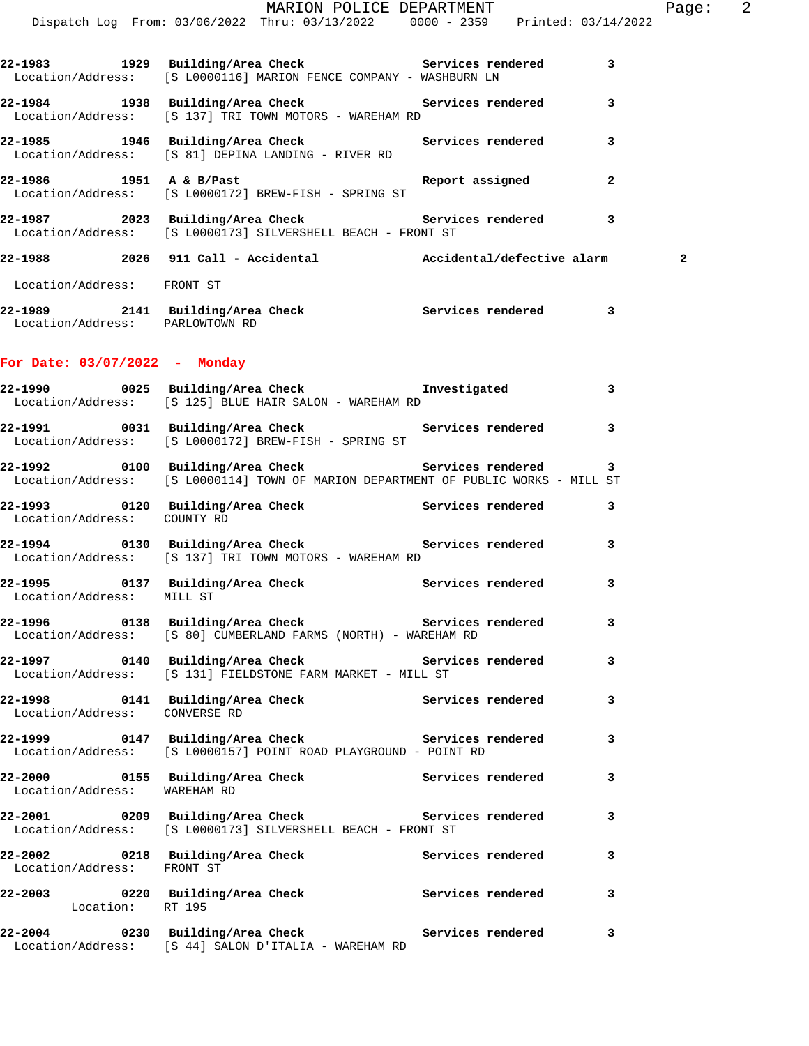|                                                                                                                                          | Dispatch Log From: 03/06/2022 Thru: 03/13/2022 0000 - 2359 Printed: 03/14/2022 | MARION POLICE DEPARTMENT |  |              | Page: 2      |  |
|------------------------------------------------------------------------------------------------------------------------------------------|--------------------------------------------------------------------------------|--------------------------|--|--------------|--------------|--|
| 22-1983 1929 Building/Area Check Services rendered 3<br>Location/Address: [S L0000116] MARION FENCE COMPANY - WASHBURN LN                |                                                                                |                          |  |              |              |  |
| 22-1984 1938 Building/Area Check Services rendered<br>Location/Address: [S 137] TRI TOWN MOTORS - WAREHAM RD                             |                                                                                |                          |  | 3            |              |  |
| 22-1985 1946 Building/Area Check 1997 Services rendered 3<br>Location/Address: [S 81] DEPINA LANDING - RIVER RD                          |                                                                                |                          |  |              |              |  |
| 22-1986 1951 A & B/Past 22-1986 Report assigned<br>Location/Address: [S L0000172] BREW-FISH - SPRING ST                                  |                                                                                |                          |  | $\mathbf{2}$ |              |  |
| 22-1987 2023 Building/Area Check 20 Services rendered 3<br>Location/Address: [S L0000173] SILVERSHELL BEACH - FRONT ST                   |                                                                                |                          |  |              |              |  |
| 22-1988 2026 911 Call - Accidental Mccidental/defective alarm                                                                            |                                                                                |                          |  |              | $\mathbf{2}$ |  |
| Location/Address: FRONT ST                                                                                                               |                                                                                |                          |  |              |              |  |
| 22-1989 2141 Building/Area Check Services rendered 3<br>Location/Address: PARLOWTOWN RD                                                  |                                                                                |                          |  |              |              |  |
| For Date: $03/07/2022 -$ Monday                                                                                                          |                                                                                |                          |  |              |              |  |
| 22-1990      0025  Building/Area Check          Investigated<br>Location/Address:   [S 125] BLUE HAIR SALON - WAREHAM RD                 |                                                                                |                          |  | $\mathbf{3}$ |              |  |
| 22-1991 0031 Building/Area Check Services rendered 3<br>Location/Address: [S L0000172] BREW-FISH - SPRING ST                             |                                                                                |                          |  |              |              |  |
| 22-1992 0100 Building/Area Check Services rendered<br>Location/Address: [S L0000114] TOWN OF MARION DEPARTMENT OF PUBLIC WORKS - MILL ST |                                                                                |                          |  | 3            |              |  |
| 22-1993 0120 Building/Area Check 5ervices rendered 3<br>Location/Address: COUNTY RD                                                      |                                                                                |                          |  |              |              |  |
| 22-1994 0130 Building/Area Check <b>Services</b> rendered<br>Location/Address: [S 137] TRI TOWN MOTORS - WAREHAM RD                      |                                                                                |                          |  | 3            |              |  |
| 22-1995 0137 Building/Area Check 6 Services rendered 3<br>Location/Address: MILL ST                                                      |                                                                                |                          |  |              |              |  |
| 22-1996 		 0138 Building/Area Check 		 Services rendered<br>Location/Address: [S 80] CUMBERLAND FARMS (NORTH) - WAREHAM RD               |                                                                                |                          |  | 3            |              |  |
| 22-1997   0140   Building/Area Check   Services rendered<br>Location/Address: [S 131] FIELDSTONE FARM MARKET - MILL ST                   |                                                                                |                          |  | 3            |              |  |
| 22-1998 		 0141 Building/Area Check 		 Services rendered<br>Location/Address: CONVERSE RD                                                |                                                                                |                          |  | 3            |              |  |
| 22-1999   0147   Building/Area Check   Services rendered<br>Location/Address: [S L0000157]   POINT ROAD PLAYGROUND - POINT RD            |                                                                                |                          |  | 3            |              |  |
| 22-2000  0155 Building/Area Check  Services rendered<br>Location/Address: WAREHAM RD                                                     |                                                                                |                          |  | 3            |              |  |
| 22-2001 0209 Building/Area Check Services rendered<br>Location/Address: [S L0000173] SILVERSHELL BEACH - FRONT ST                        |                                                                                |                          |  | 3            |              |  |
| 22-2002 			 0218 Building/Area Check 			 Services rendered<br>Location/Address: FRONT ST                                                 |                                                                                |                          |  | 3            |              |  |
| 22-2003 0220 Building/Area Check Services rendered<br>Location: RT 195                                                                   |                                                                                |                          |  | 3            |              |  |
| 22-2004 0230 Building/Area Check 5ervices rendered<br>Location/Address: [S 44] SALON D'ITALIA - WAREHAM RD                               |                                                                                |                          |  | 3            |              |  |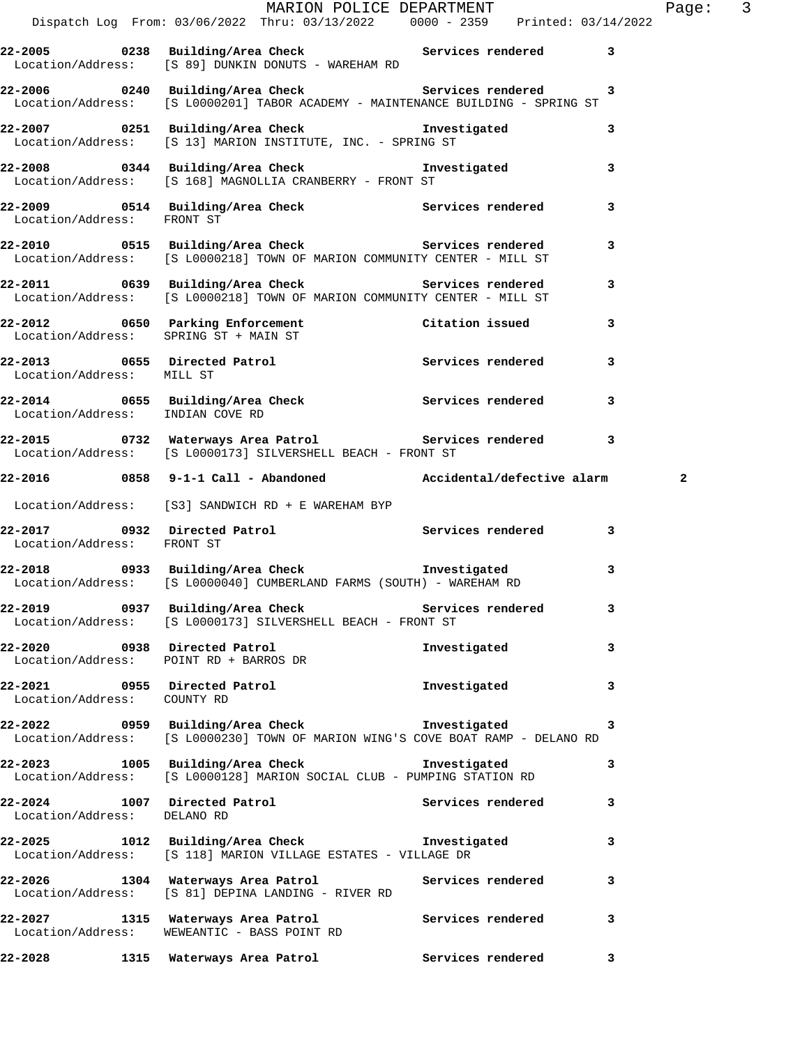|                             |                                             |                                                                                                                                           |                   |   | Page: $3$    |  |
|-----------------------------|---------------------------------------------|-------------------------------------------------------------------------------------------------------------------------------------------|-------------------|---|--------------|--|
|                             |                                             | MARION POLICE DEPARTMENT<br>Dispatch Log From: 03/06/2022 Thru: 03/13/2022 0000 - 2359 Printed: 03/14/2022                                |                   |   |              |  |
|                             |                                             | 22-2005 0238 Building/Area Check 6 Services rendered 3<br>Location/Address: [S 89] DUNKIN DONUTS - WAREHAM RD                             |                   |   |              |  |
|                             |                                             | 22-2006 0240 Building/Area Check 6 Services rendered 3<br>Location/Address: [S L0000201] TABOR ACADEMY - MAINTENANCE BUILDING - SPRING ST |                   |   |              |  |
|                             |                                             | 22-2007 0251 Building/Area Check Investigated<br>Location/Address: [S 13] MARION INSTITUTE, INC. - SPRING ST                              |                   | 3 |              |  |
|                             |                                             | 22-2008 0344 Building/Area Check 1nvestigated 3<br>Location/Address: [S 168] MAGNOLLIA CRANBERRY - FRONT ST                               |                   |   |              |  |
| Location/Address: FRONT ST  |                                             | 22-2009 0514 Building/Area Check 6 Services rendered 3                                                                                    |                   |   |              |  |
|                             |                                             | 22-2010 0515 Building/Area Check <b>Services</b> rendered<br>Location/Address: [S L0000218] TOWN OF MARION COMMUNITY CENTER - MILL ST     |                   | 3 |              |  |
|                             |                                             | 22-2011 0639 Building/Area Check 2015 Services rendered 3<br>Location/Address: [S L0000218] TOWN OF MARION COMMUNITY CENTER - MILL ST     |                   |   |              |  |
|                             | Location/Address: SPRING ST + MAIN ST       | 22-2012 0650 Parking Enforcement Citation issued                                                                                          |                   | 3 |              |  |
| Location/Address: MILL ST   |                                             | 22-2013 0655 Directed Patrol 22-2013 Services rendered 3                                                                                  |                   |   |              |  |
|                             | Location/Address: INDIAN COVE RD            | 22-2014 0655 Building/Area Check <b>Services</b> rendered                                                                                 |                   | 3 |              |  |
|                             |                                             | 22-2015 0732 Waterways Area Patrol (2018) Services rendered 3<br>Location/Address: [S L0000173] SILVERSHELL BEACH - FRONT ST              |                   |   |              |  |
|                             |                                             | 22-2016 0858 9-1-1 Call - Abandoned Accidental/defective alarm                                                                            |                   |   | $\mathbf{2}$ |  |
|                             |                                             | Location/Address: [S3] SANDWICH RD + E WAREHAM BYP                                                                                        |                   |   |              |  |
| Location/Address: FRONT ST  |                                             | 22-2017 0932 Directed Patrol Services rendered                                                                                            |                   | 3 |              |  |
|                             |                                             | 22-2018 0933 Building/Area Check <b>The Investigated</b><br>Location/Address: [S L0000040] CUMBERLAND FARMS (SOUTH) - WAREHAM RD          |                   | 3 |              |  |
|                             |                                             | 22-2019 		 0937 Building/Area Check 		 Services rendered<br>Location/Address: [S L0000173] SILVERSHELL BEACH - FRONT ST                   |                   | 3 |              |  |
|                             | Location/Address: POINT RD + BARROS DR      | 22-2020 0938 Directed Patrol                                                                                                              | Investigated      | 3 |              |  |
| Location/Address: COUNTY RD | 22-2021 0955 Directed Patrol                |                                                                                                                                           | Investigated      | 3 |              |  |
|                             |                                             | 22-2022 0959 Building/Area Check Threstigated<br>Location/Address: [S L0000230] TOWN OF MARION WING'S COVE BOAT RAMP - DELANO RD          |                   | 3 |              |  |
|                             |                                             | 22-2023 1005 Building/Area Check<br>Location/Address: [S L0000128] MARION SOCIAL CLUB - PUMPING STATION RD                                | Investigated      | 3 |              |  |
| Location/Address: DELANO RD | 22-2024 1007 Directed Patrol                |                                                                                                                                           | Services rendered | 3 |              |  |
|                             |                                             | 22-2025 1012 Building/Area Check Threstigated<br>Location/Address: [S 118] MARION VILLAGE ESTATES - VILLAGE DR                            |                   | 3 |              |  |
|                             |                                             | 22-2026 1304 Waterways Area Patrol Services rendered<br>Location/Address: [S 81] DEPINA LANDING - RIVER RD                                |                   | 3 |              |  |
|                             | Location/Address: WEWEANTIC - BASS POINT RD | 22-2027 1315 Waterways Area Patrol                                                                                                        | Services rendered | 3 |              |  |
| 22-2028                     | 1315 Waterways Area Patrol                  |                                                                                                                                           | Services rendered | 3 |              |  |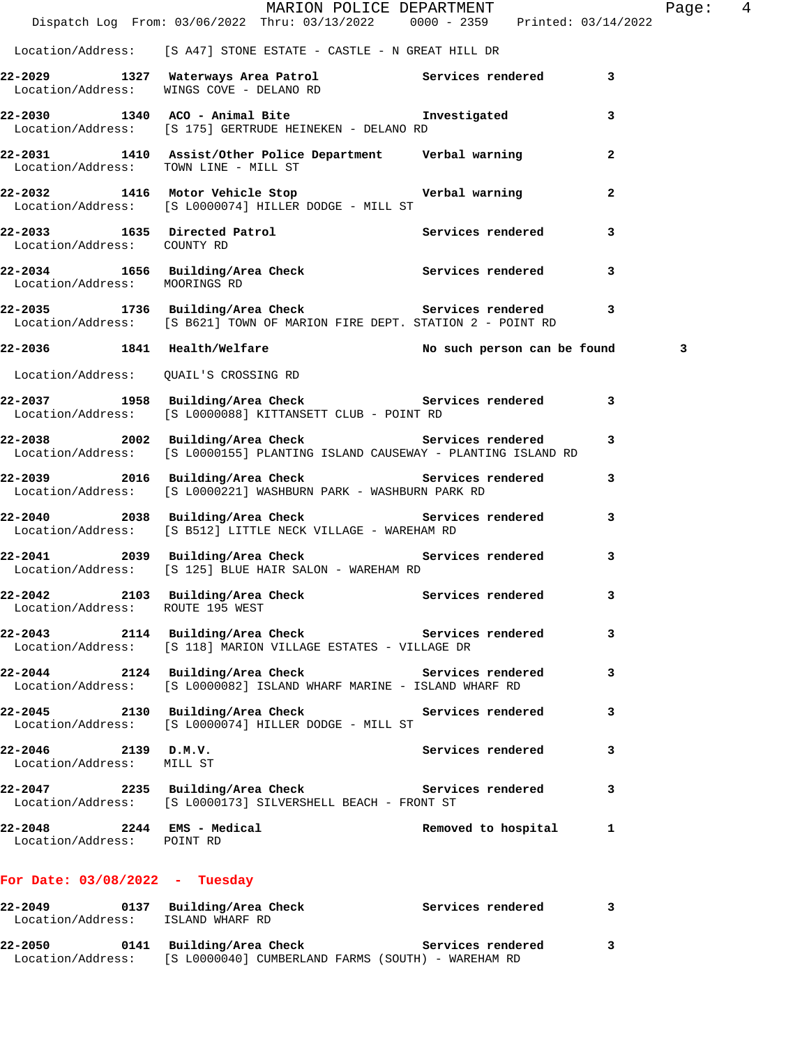|                                                  |                                                               | MARION POLICE DEPARTMENT<br>Dispatch Log From: 03/06/2022 Thru: 03/13/2022 0000 - 2359 Printed: 03/14/2022                           |                          | Page: 4 |  |
|--------------------------------------------------|---------------------------------------------------------------|--------------------------------------------------------------------------------------------------------------------------------------|--------------------------|---------|--|
|                                                  |                                                               | Location/Address: [S A47] STONE ESTATE - CASTLE - N GREAT HILL DR                                                                    |                          |         |  |
|                                                  |                                                               | 22-2029 1327 Waterways Area Patrol Services rendered 3<br>Location/Address: WINGS COVE - DELANO RD                                   |                          |         |  |
|                                                  | Location/Address: [S 175] GERTRUDE HEINEKEN - DELANO RD       | 22-2030 1340 ACO - Animal Bite <b>120 Investigated</b>                                                                               | 3                        |         |  |
| Location/Address: TOWN LINE - MILL ST            |                                                               | 22-2031 1410 Assist/Other Police Department Verbal warning                                                                           | $\mathbf{2}$             |         |  |
|                                                  | Location/Address: [S L0000074] HILLER DODGE - MILL ST         | 22-2032 1416 Motor Vehicle Stop Nerbal warning                                                                                       | $\mathbf{2}$             |         |  |
| Location/Address: COUNTY RD                      |                                                               | 22-2033 1635 Directed Patrol 1988 Services rendered 3                                                                                |                          |         |  |
|                                                  |                                                               | 22-2034 1656 Building/Area Check Services rendered 3<br>Location/Address: MOORINGS RD                                                |                          |         |  |
|                                                  |                                                               | 22-2035 1736 Building/Area Check Services rendered 3<br>Location/Address: [S B621] TOWN OF MARION FIRE DEPT. STATION 2 - POINT RD    |                          |         |  |
|                                                  |                                                               | 22-2036 1841 Health/Welfare No Such person can be found 3                                                                            |                          |         |  |
|                                                  | Location/Address: QUAIL'S CROSSING RD                         |                                                                                                                                      |                          |         |  |
|                                                  | Location/Address: [S L0000088] KITTANSETT CLUB - POINT RD     | 22-2037 1958 Building/Area Check Services rendered 3                                                                                 |                          |         |  |
|                                                  |                                                               | 22-2038 2002 Building/Area Check Services rendered 3<br>Location/Address: [S L0000155] PLANTING ISLAND CAUSEWAY - PLANTING ISLAND RD |                          |         |  |
|                                                  |                                                               | 22-2039 2016 Building/Area Check Services rendered<br>Location/Address: [S L0000221] WASHBURN PARK - WASHBURN PARK RD                | 3                        |         |  |
|                                                  | Location/Address: [S B512] LITTLE NECK VILLAGE - WAREHAM RD   | 22-2040 2038 Building/Area Check 2019 Services rendered 3                                                                            |                          |         |  |
|                                                  | Location/Address: [S 125] BLUE HAIR SALON - WAREHAM RD        | 22-2041 2039 Building/Area Check Services rendered                                                                                   | 3                        |         |  |
| Location/Address: ROUTE 195 WEST                 |                                                               | 22-2042 2103 Building/Area Check 2015 Services rendered                                                                              | 3                        |         |  |
|                                                  | Location/Address: [S 118] MARION VILLAGE ESTATES - VILLAGE DR | 22-2043 2114 Building/Area Check Services rendered                                                                                   | 3                        |         |  |
|                                                  |                                                               | 22-2044 2124 Building/Area Check Services rendered<br>Location/Address: [S L0000082] ISLAND WHARF MARINE - ISLAND WHARF RD           | 3                        |         |  |
|                                                  | Location/Address: [S L0000074] HILLER DODGE - MILL ST         | 22-2045 2130 Building/Area Check Services rendered                                                                                   | 3                        |         |  |
| 22-2046 2139 D.M.V.<br>Location/Address: MILL ST |                                                               |                                                                                                                                      | 3<br>Services rendered   |         |  |
|                                                  | Location/Address: [S L0000173] SILVERSHELL BEACH - FRONT ST   | 22-2047 2235 Building/Area Check Services rendered                                                                                   | 3                        |         |  |
| Location/Address: POINT RD                       | 22-2048 2244 EMS - Medical                                    |                                                                                                                                      | Removed to hospital<br>1 |         |  |
| For Date: $03/08/2022 - Tuesday$                 |                                                               |                                                                                                                                      |                          |         |  |

## **22-2049 0137 Building/Area Check Services rendered 3**  Location/Address: ISLAND WHARF RD **22-2050 0141 Building/Area Check Services rendered 3**  Location/Address: [S L0000040] CUMBERLAND FARMS (SOUTH) - WAREHAM RD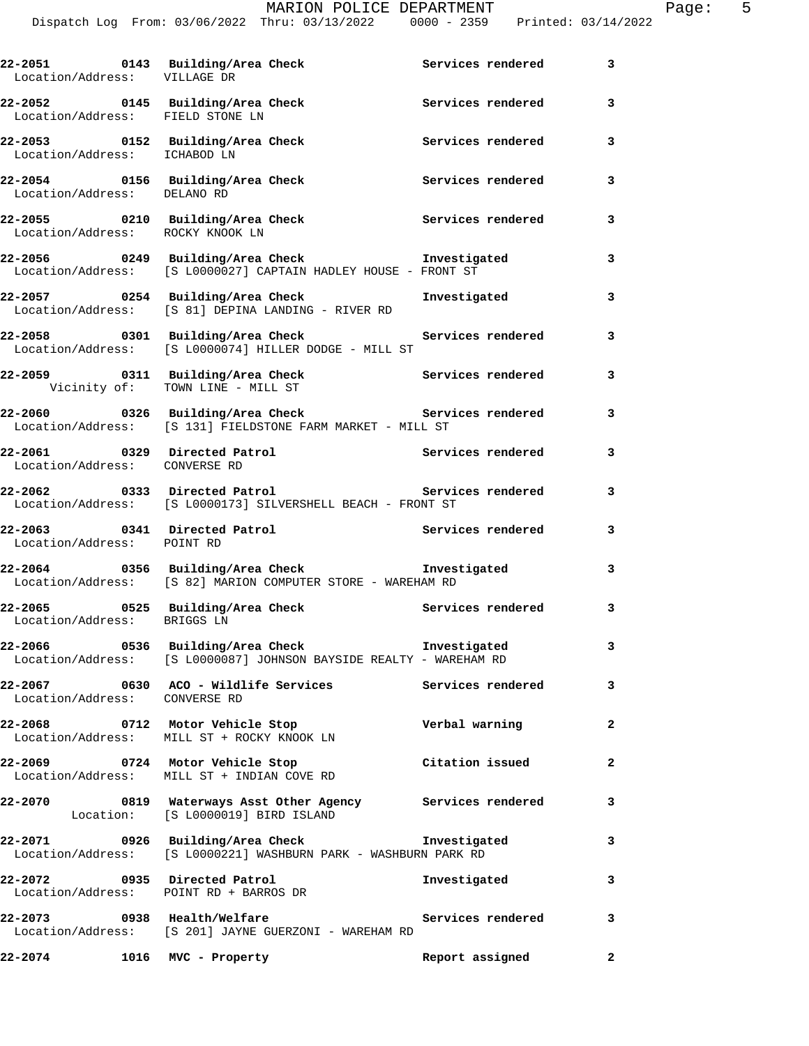| Location/Address: VILLAGE DR                                         | 22-2051 0143 Building/Area Check Services rendered                                                                          |                   | 3              |
|----------------------------------------------------------------------|-----------------------------------------------------------------------------------------------------------------------------|-------------------|----------------|
| 22-2052 0145 Building/Area Check<br>Location/Address: FIELD STONE LN |                                                                                                                             | Services rendered | 3              |
|                                                                      | 22-2053 0152 Building/Area Check<br>Location/Address: ICHABOD LN                                                            | Services rendered | 3              |
|                                                                      | 22-2054 0156 Building/Area Check<br>Location/Address: DELANO RD                                                             | Services rendered | 3              |
| Location/Address: ROCKY KNOOK LN                                     | 22-2055 0210 Building/Area Check 6 Services rendered                                                                        |                   | 3              |
|                                                                      | 22-2056 0249 Building/Area Check Threstigated<br>Location/Address: [S L0000027] CAPTAIN HADLEY HOUSE - FRONT ST             |                   | 3              |
|                                                                      | 22-2057 0254 Building/Area Check Tnvestigated<br>Location/Address: [S 81] DEPINA LANDING - RIVER RD                         |                   | 3              |
|                                                                      | 22-2058       0301  Building/Area Check          Services rendered<br>Location/Address: [S L0000074] HILLER DODGE - MILL ST |                   | 3              |
| Vicinity of: TOWN LINE - MILL ST                                     | 22-2059 0311 Building/Area Check 6 Services rendered                                                                        |                   | 3              |
|                                                                      | Location/Address: [S 131] FIELDSTONE FARM MARKET - MILL ST                                                                  |                   | 3              |
| Location/Address: CONVERSE RD                                        | 22-2061 0329 Directed Patrol 22-2061 Services rendered                                                                      |                   | 3              |
|                                                                      | 22-2062 <b>22-2062</b> 0333 Directed Patrol<br>Location/Address: [S L0000173] SILVERSHELL BEACH - FRONT ST                  | Services rendered | 3              |
| Location/Address: POINT RD                                           |                                                                                                                             |                   | 3              |
|                                                                      | 22-2064 0356 Building/Area Check<br>Location/Address: [S 82] MARION COMPUTER STORE - WAREHAM RD                             | Investigated      | 3              |
| Location/Address: BRIGGS LN                                          | 22-2065  0525 Building/Area Check    Services rendered                                                                      |                   | 3              |
|                                                                      | Location/Address: [S L0000087] JOHNSON BAYSIDE REALTY - WAREHAM RD                                                          |                   | 3              |
| Location/Address: CONVERSE RD                                        | 22-2067 		 0630 ACO - Wildlife Services 		 Services rendered                                                                |                   | 3              |
|                                                                      | 22-2068 0712 Motor Vehicle Stop<br>Location/Address: MILL ST + ROCKY KNOOK LN                                               | Verbal warning    | $\overline{a}$ |
|                                                                      | 22-2069 0724 Motor Vehicle Stop<br>Location/Address: MILL ST + INDIAN COVE RD                                               | Citation issued   | $\mathbf{2}$   |
|                                                                      | 22-2070 0819 Waterways Asst Other Agency Services rendered<br>Location: [S L0000019] BIRD ISLAND                            |                   | 3              |
|                                                                      | 22-2071 0926 Building/Area Check <b>Investigated</b><br>Location/Address: [S L0000221] WASHBURN PARK - WASHBURN PARK RD     |                   | 3              |
| 22-2072 0935 Directed Patrol                                         | Location/Address: POINT RD + BARROS DR                                                                                      | Investigated      | 3              |
|                                                                      | 22-2073 0938 Health/Welfare<br>Location/Address: [S 201] JAYNE GUERZONI - WAREHAM RD                                        | Services rendered | 3              |
| 22-2074 1016 MVC - Property                                          |                                                                                                                             | Report assigned   | $\mathbf{2}$   |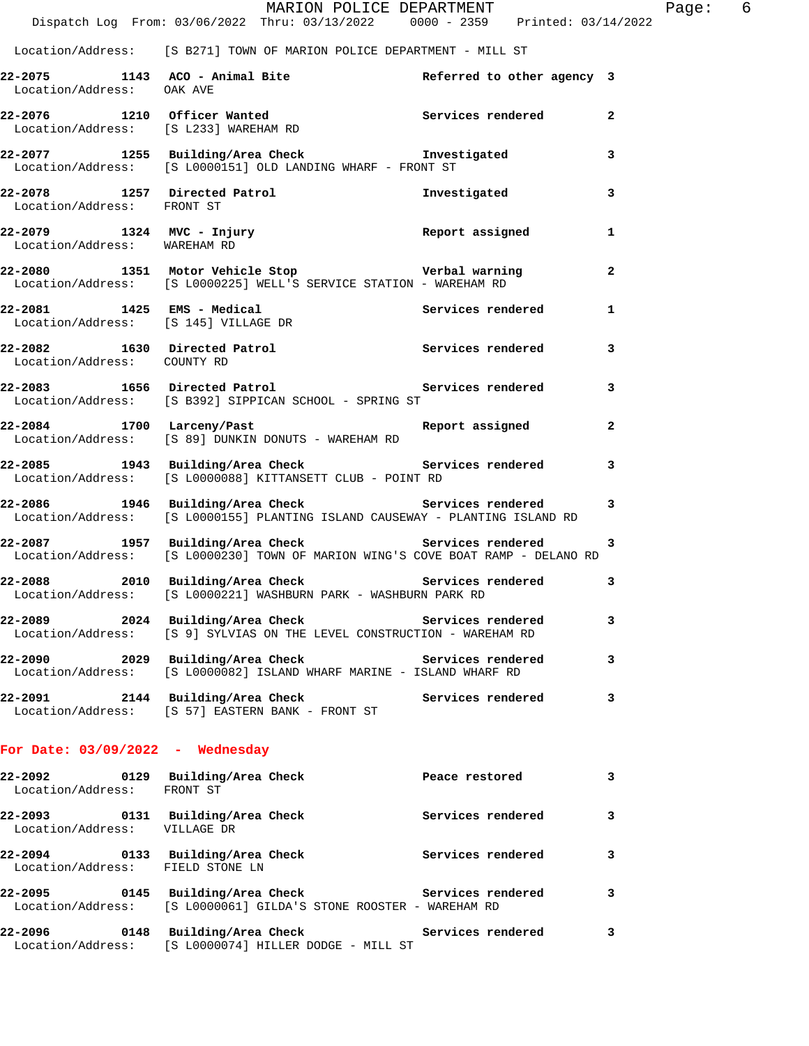|                                    | MARION POLICE DEPARTMENT<br>Dispatch Log From: 03/06/2022 Thru: 03/13/2022 0000 - 2359 Printed: 03/14/2022                            |                            |              |
|------------------------------------|---------------------------------------------------------------------------------------------------------------------------------------|----------------------------|--------------|
|                                    | Location/Address: [S B271] TOWN OF MARION POLICE DEPARTMENT - MILL ST                                                                 |                            |              |
| Location/Address: OAK AVE          | 22-2075 1143 ACO - Animal Bite                                                                                                        | Referred to other agency 3 |              |
|                                    | 22-2076 1210 Officer Wanted Services rendered<br>Location/Address: [S.I.233] MAREHAM RD<br>Location/Address: [S L233] WAREHAM RD      |                            | $\mathbf{2}$ |
|                                    | 22-2077 1255 Building/Area Check <b>The Investigated</b><br>Location/Address: [S L0000151] OLD LANDING WHARF - FRONT ST               |                            | 3            |
| Location/Address: FRONT ST         | 22-2078 1257 Directed Patrol                                                                                                          | Investigated               | 3            |
| Location/Address: WAREHAM RD       |                                                                                                                                       |                            | 1            |
|                                    | 22-2080 1351 Motor Vehicle Stop Nerbal warning<br>Location/Address: [S L0000225] WELL'S SERVICE STATION - WAREHAM RD                  |                            | 2            |
|                                    | 22-2081 1425 EMS - Medical Services rendered<br>Location/Address: [S 145] VILLAGE DR                                                  |                            | 1            |
| Location/Address: COUNTY RD        | 22-2082 1630 Directed Patrol 1999 Services rendered                                                                                   |                            | 3            |
|                                    | 22-2083 1656 Directed Patrol 1997 Services rendered<br>Location/Address: [S B392] SIPPICAN SCHOOL - SPRING ST                         |                            | 3            |
|                                    | 22-2084 1700 Larceny/Past 22-2084 Report assigned<br>Location/Address: [S 89] DUNKIN DONUTS - WAREHAM RD                              |                            | 2            |
|                                    | 22-2085 1943 Building/Area Check Services rendered<br>Location/Address: [S L0000088] KITTANSETT CLUB - POINT RD                       |                            | 3            |
|                                    | 22-2086 1946 Building/Area Check Services rendered<br>Location/Address: [S L0000155] PLANTING ISLAND CAUSEWAY - PLANTING ISLAND RD    |                            | 3            |
|                                    | 22-2087 1957 Building/Area Check Services rendered<br>Location/Address: [S L0000230] TOWN OF MARION WING'S COVE BOAT RAMP - DELANO RD |                            | 3            |
|                                    | 22-2088 2010 Building/Area Check 2010 Services rendered<br>Location/Address: [S L0000221] WASHBURN PARK - WASHBURN PARK RD            |                            | 3            |
|                                    | 22-2089 2024 Building/Area Check<br>Location/Address: [S 9] SYLVIAS ON THE LEVEL CONSTRUCTION - WAREHAM RD                            | Services rendered          | 3            |
|                                    | 22-2090 2029 Building/Area Check Services rendered<br>Location/Address: [S L0000082] ISLAND WHARF MARINE - ISLAND WHARF RD            |                            | 3            |
|                                    | 22-2091 2144 Building/Area Check<br>Location/Address: [S 57] EASTERN BANK - FRONT ST                                                  | Services rendered          | 3            |
| For Date: $03/09/2022 -$ Wednesday |                                                                                                                                       |                            |              |
| Location/Address: FRONT ST         |                                                                                                                                       |                            | 3            |
| Location/Address: VILLAGE DR       | 22-2093 0131 Building/Area Check                                                                                                      | Services rendered          | 3            |
| Location/Address: FIELD STONE LN   | 22-2094 		 0133 Building/Area Check 		 Services rendered                                                                              |                            | 3            |
|                                    | 22-2095 0145 Building/Area Check Services rendered<br>Location/Address: [S L0000061] GILDA'S STONE ROOSTER - WAREHAM RD               |                            | 3            |

**22-2096 0148 Building/Area Check Services rendered 3**  Location/Address: [S L0000074] HILLER DODGE - MILL ST

Page: 6<br>22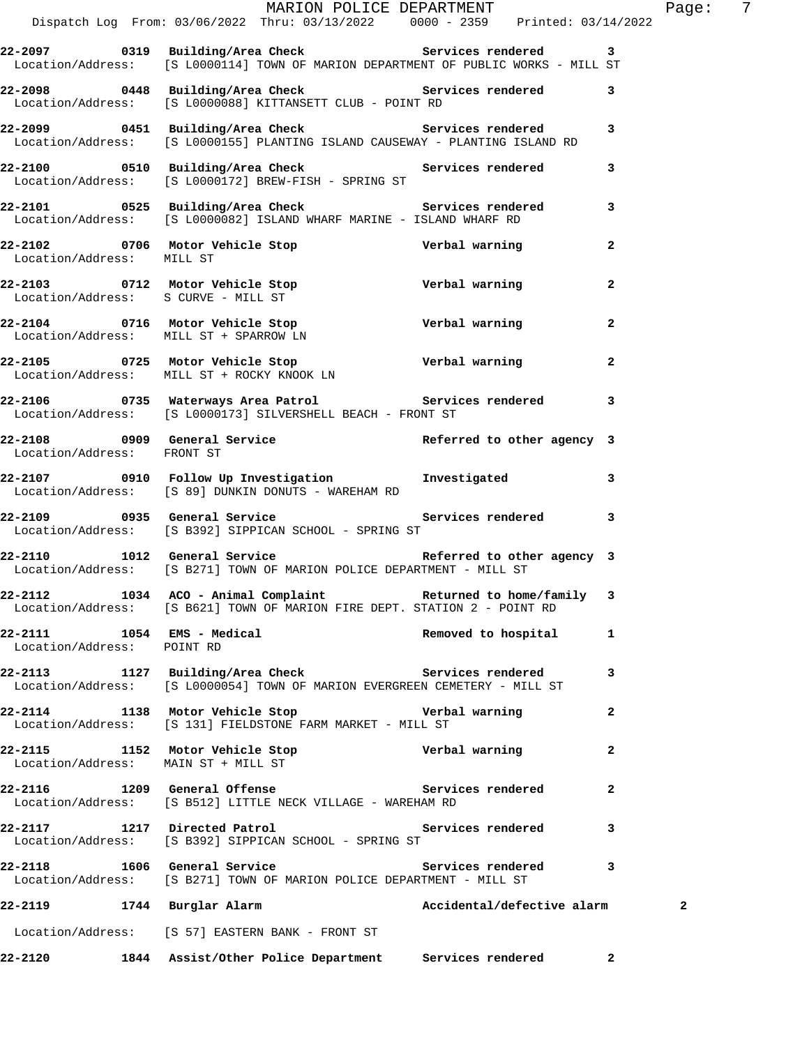|                                                          | MARION POLICE DEPARTMENT<br>Dispatch Log From: 03/06/2022 Thru: 03/13/2022 0000 - 2359 Printed: 03/14/2022                                     |                            |              | Page: $7$    |  |
|----------------------------------------------------------|------------------------------------------------------------------------------------------------------------------------------------------------|----------------------------|--------------|--------------|--|
|                                                          |                                                                                                                                                |                            |              |              |  |
|                                                          | 22-2097 0319 Building/Area Check Services rendered 3<br>Location/Address: [S L0000114] TOWN OF MARION DEPARTMENT OF PUBLIC WORKS - MILL ST     |                            |              |              |  |
|                                                          | 22-2098 0448 Building/Area Check Services rendered 3<br>Location/Address: [S L0000088] KITTANSETT CLUB - POINT RD                              |                            |              |              |  |
|                                                          | 22-2099   0451   Building/Area Check   Services rendered   3<br>Location/Address:   [S L0000155] PLANTING ISLAND CAUSEWAY - PLANTING ISLAND RD |                            |              |              |  |
|                                                          | 22-2100 0510 Building/Area Check Services rendered<br>Location/Address: [S L0000172] BREW-FISH - SPRING ST                                     |                            | $\mathbf{3}$ |              |  |
|                                                          | 22-2101 0525 Building/Area Check Services rendered 3<br>Location/Address: [S L0000082] ISLAND WHARF MARINE - ISLAND WHARF RD                   |                            |              |              |  |
| Location/Address: MILL ST                                | 22-2102 1706 Motor Vehicle Stop 1980 Verbal warning                                                                                            |                            | $\mathbf{2}$ |              |  |
|                                                          |                                                                                                                                                |                            | $\mathbf{2}$ |              |  |
|                                                          | 22-2104 0716 Motor Vehicle Stop <b>1988 verbal warning</b><br>Location/Address: MILL ST + SPARROW LN                                           |                            | $\mathbf{2}$ |              |  |
|                                                          | 22-2105 0725 Motor Vehicle Stop Verbal warning 2<br>Location/Address: MILL ST + ROCKY KNOOK LN                                                 |                            |              |              |  |
|                                                          | 22-2106 1735 Waterways Area Patrol 1988 Services rendered<br>Location/Address: [S L0000173] SILVERSHELL BEACH - FRONT ST                       |                            | 3            |              |  |
| Location/Address: FRONT ST                               | $22-2108$ 0909 General Service Referred to other agency 3                                                                                      |                            |              |              |  |
|                                                          | 22-2107 0910 Follow Up Investigation Investigated 3<br>Location/Address: [S 89] DUNKIN DONUTS - WAREHAM RD                                     |                            |              |              |  |
|                                                          | Location/Address: [S B392] SIPPICAN SCHOOL - SPRING ST                                                                                         |                            |              |              |  |
|                                                          | 22-2110 1012 General Service Referred to other agency 3<br>Location/Address: [S B271] TOWN OF MARION POLICE DEPARTMENT - MILL ST               |                            |              |              |  |
|                                                          | 22-2112 1034 ACO - Animal Complaint Returned to home/family 3<br>Location/Address: [S B621] TOWN OF MARION FIRE DEPT. STATION 2 - POINT RD     |                            |              |              |  |
| 22-2111 1054 EMS - Medical<br>Location/Address: POINT RD |                                                                                                                                                | Removed to hospital        | 1            |              |  |
|                                                          | 22-2113 1127 Building/Area Check Services rendered<br>Location/Address: [S L0000054] TOWN OF MARION EVERGREEN CEMETERY - MILL ST               |                            | 3            |              |  |
|                                                          | 22-2114 1138 Motor Vehicle Stop Nerbal warning<br>Location/Address: [S 131] FIELDSTONE FARM MARKET - MILL ST                                   |                            | 2            |              |  |
|                                                          |                                                                                                                                                |                            | $\mathbf{2}$ |              |  |
|                                                          | 22-2116 1209 General Offense and Services rendered<br>Location/Address: [S B512] LITTLE NECK VILLAGE - WAREHAM RD                              |                            | $\mathbf{2}$ |              |  |
|                                                          | 22-2117 1217 Directed Patrol 22-2117 1217 Directed Patrol 2012 120 Services rendered<br>Location/Address: [S B392] SIPPICAN SCHOOL - SPRING ST |                            |              |              |  |
|                                                          | 22-2118 1606 General Service 22-2118 Services rendered 3<br>Location/Address: [S B271] TOWN OF MARION POLICE DEPARTMENT - MILL ST              |                            |              |              |  |
| 22-2119 1744 Burglar Alarm                               |                                                                                                                                                | Accidental/defective alarm |              | $\mathbf{2}$ |  |
|                                                          | Location/Address: [S 57] EASTERN BANK - FRONT ST                                                                                               |                            |              |              |  |
|                                                          | 22-2120 1844 Assist/Other Police Department Services rendered                                                                                  |                            | $\mathbf{2}$ |              |  |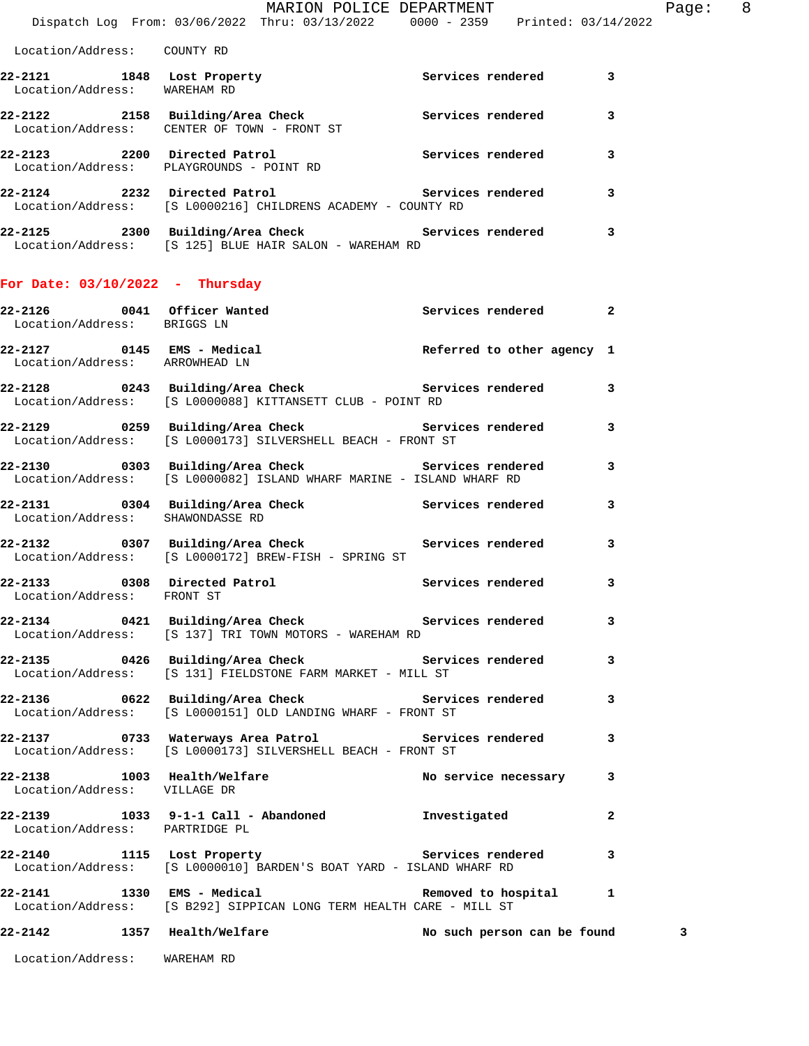Dispatch Log From: 03/06/2022 Thru: 03/13/2022 0000 - 2359 Printed: 03/14/2022 Location/Address: COUNTY RD **22-2121 1848 Lost Property Services rendered 3**  Location/Address: WAREHAM RD **22-2122 2158 Building/Area Check Services rendered 3**  Location/Address: CENTER OF TOWN - FRONT ST **22-2123 2200 Directed Patrol Services rendered 3**  Location/Address: PLAYGROUNDS - POINT RD

**22-2124 2232 Directed Patrol Services rendered 3**  Location/Address: [S L0000216] CHILDRENS ACADEMY - COUNTY RD

**22-2125 2300 Building/Area Check Services rendered 3**  Location/Address: [S 125] BLUE HAIR SALON - WAREHAM RD

## **For Date: 03/10/2022 - Thursday**

| 22-2126 0041 Officer Wanted<br>Location/Address: BRIGGS LN  |                                                                                                                              | Services rendered 2         |                |
|-------------------------------------------------------------|------------------------------------------------------------------------------------------------------------------------------|-----------------------------|----------------|
| Location/Address: ARROWHEAD LN                              |                                                                                                                              |                             |                |
|                                                             | 22-2128 0243 Building/Area Check 6 Services rendered 3<br>Location/Address: [S L0000088] KITTANSETT CLUB - POINT RD          |                             |                |
|                                                             | 22-2129 0259 Building/Area Check Services rendered 3<br>Location/Address: [S L0000173] SILVERSHELL BEACH - FRONT ST          |                             |                |
|                                                             | 22-2130 0303 Building/Area Check Services rendered<br>Location/Address: [S L0000082] ISLAND WHARF MARINE - ISLAND WHARF RD   |                             | 3              |
|                                                             | 22-2131 0304 Building/Area Check Services rendered<br>Location/Address: SHAWONDASSE RD                                       |                             | 3              |
|                                                             | 22-2132 0307 Building/Area Check Services rendered<br>Location/Address: [S L0000172] BREW-FISH - SPRING ST                   |                             | 3              |
| Location/Address: FRONT ST                                  | 22-2133 0308 Directed Patrol 1 20 Services rendered                                                                          |                             | 3              |
|                                                             | 22-2134       0421  Building/Area Check          Services rendered<br>Location/Address: [S 137] TRI TOWN MOTORS - WAREHAM RD |                             | 3              |
|                                                             | 22-2135 0426 Building/Area Check Services rendered<br>Location/Address: [S 131] FIELDSTONE FARM MARKET - MILL ST             |                             | 3              |
|                                                             | Location/Address: [S L0000151] OLD LANDING WHARF - FRONT ST                                                                  |                             |                |
|                                                             | 22-2137 		 0733 Waterways Area Patrol 		 Services rendered<br>Location/Address: [S L0000173] SILVERSHELL BEACH - FRONT ST    |                             | 3              |
| 22-2138 1003 Health/Welfare<br>Location/Address: VILLAGE DR |                                                                                                                              | No service necessary        | 3              |
| Location/Address: PARTRIDGE PL                              | 22-2139 1033 9-1-1 Call - Abandoned 1nvestigated                                                                             |                             | $\overline{2}$ |
|                                                             | 22-2140 1115 Lost Property 122-2140<br>Location/Address: [S L0000010] BARDEN'S BOAT YARD - ISLAND WHARF RD                   |                             |                |
|                                                             | Location/Address: [S B292] SIPPICAN LONG TERM HEALTH CARE - MILL ST                                                          |                             |                |
| 22-2142 1357 Health/Welfare                                 |                                                                                                                              | No such person can be found | 3              |
|                                                             |                                                                                                                              |                             |                |

Location/Address: WAREHAM RD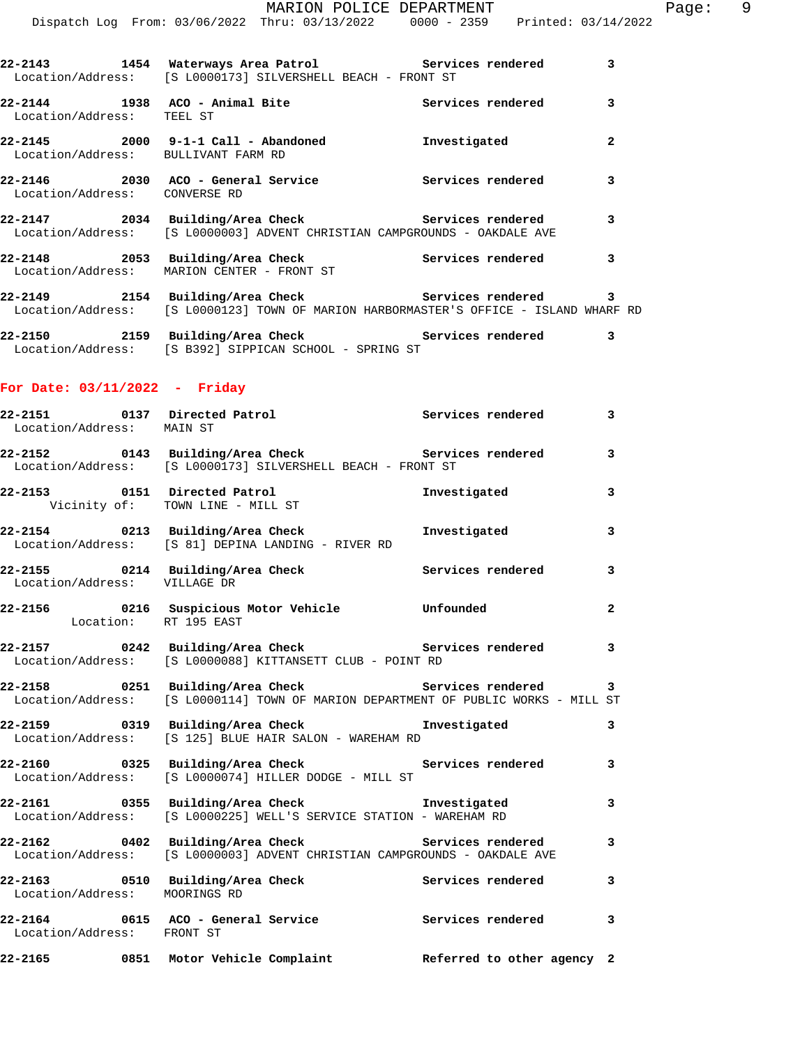|                               | 22-2143 1454 Waterways Area Patrol Services rendered<br>Location/Address: [S L0000173] SILVERSHELL BEACH - FRONT ST                         |                   | 3              |
|-------------------------------|---------------------------------------------------------------------------------------------------------------------------------------------|-------------------|----------------|
| Location/Address: TEEL ST     |                                                                                                                                             | Services rendered | 3              |
|                               | 22-2145  2000  9-1-1 Call - Abandoned<br>Location/Address: BULLIVANT FARM RD                                                                | Investigated      | $\overline{2}$ |
| Location/Address: CONVERSE RD | 22-2146  2030 ACO - General Service                                                                                                         | Services rendered | $\overline{3}$ |
|                               | 22-2147 2034 Building/Area Check Services rendered<br>Location/Address: [S L0000003] ADVENT CHRISTIAN CAMPGROUNDS - OAKDALE AVE             |                   | 3              |
|                               | 22-2148 2053 Building/Area Check 2014 Services rendered<br>Location/Address: MARION CENTER - FRONT ST                                       |                   | 3              |
|                               | 22-2149 2154 Building/Area Check Services rendered<br>Location/Address: [S L0000123] TOWN OF MARION HARBORMASTER'S OFFICE - ISLAND WHARF RD |                   | 3              |
|                               |                                                                                                                                             |                   |                |

**22-2150 2159 Building/Area Check Services rendered 3**  Location/Address: [S B392] SIPPICAN SCHOOL - SPRING ST

## **For Date: 03/11/2022 - Friday**

| Location/Address: MAIN ST     | 22-2151 0137 Directed Patrol Services rendered                                                                                             |              | 3                       |
|-------------------------------|--------------------------------------------------------------------------------------------------------------------------------------------|--------------|-------------------------|
|                               | 22-2152   0143   Building/Area Check   Services rendered   3<br>Location/Address: [S L0000173] SILVERSHELL BEACH - FRONT ST                |              |                         |
|                               | 22-2153 0151 Directed Patrol<br>Vicinity of: TOWN LINE - MILL ST                                                                           | Investigated | $\mathbf{3}$            |
|                               | 22-2154 		 0213 Building/Area Check 		 Investigated<br>Location/Address: [S 81] DEPINA LANDING - RIVER RD                                  |              | $\mathbf{3}$            |
| Location/Address: VILLAGE DR  | 22-2155 0214 Building/Area Check 5ervices rendered 3                                                                                       |              |                         |
| Location: RT 195 EAST         | 22-2156 0216 Suspicious Motor Vehicle Unfounded                                                                                            |              | $\overline{2}$          |
|                               | 22-2157 0242 Building/Area Check Services rendered 3<br>Location/Address: [S L0000088] KITTANSETT CLUB - POINT RD                          |              |                         |
|                               | 22-2158 0251 Building/Area Check 5ervices rendered 3<br>Location/Address: [S L0000114] TOWN OF MARION DEPARTMENT OF PUBLIC WORKS - MILL ST |              |                         |
|                               | 22-2159       0319  Building/Area Check          Investigated<br>Location/Address: [S 125] BLUE HAIR SALON - WAREHAM RD                    |              | 3                       |
|                               | 22-2160 0325 Building/Area Check 6 Services rendered 3<br>Location/Address: [S L0000074] HILLER DODGE - MILL ST                            |              |                         |
|                               | 22-2161 0355 Building/Area Check <b>The Investigated</b> 3<br>Location/Address: [S L0000225] WELL'S SERVICE STATION - WAREHAM RD           |              |                         |
|                               | Location/Address: [S L0000003] ADVENT CHRISTIAN CAMPGROUNDS - OAKDALE AVE                                                                  |              | $\overline{\mathbf{3}}$ |
| Location/Address: MOORINGS RD | 22-2163 0510 Building/Area Check 6 Services rendered 3                                                                                     |              |                         |
| Location/Address: FRONT ST    | 22-2164 0615 ACO - General Service and Services rendered 3                                                                                 |              |                         |
|                               | 22-2165 0851 Motor Vehicle Complaint Referred to other agency 2                                                                            |              |                         |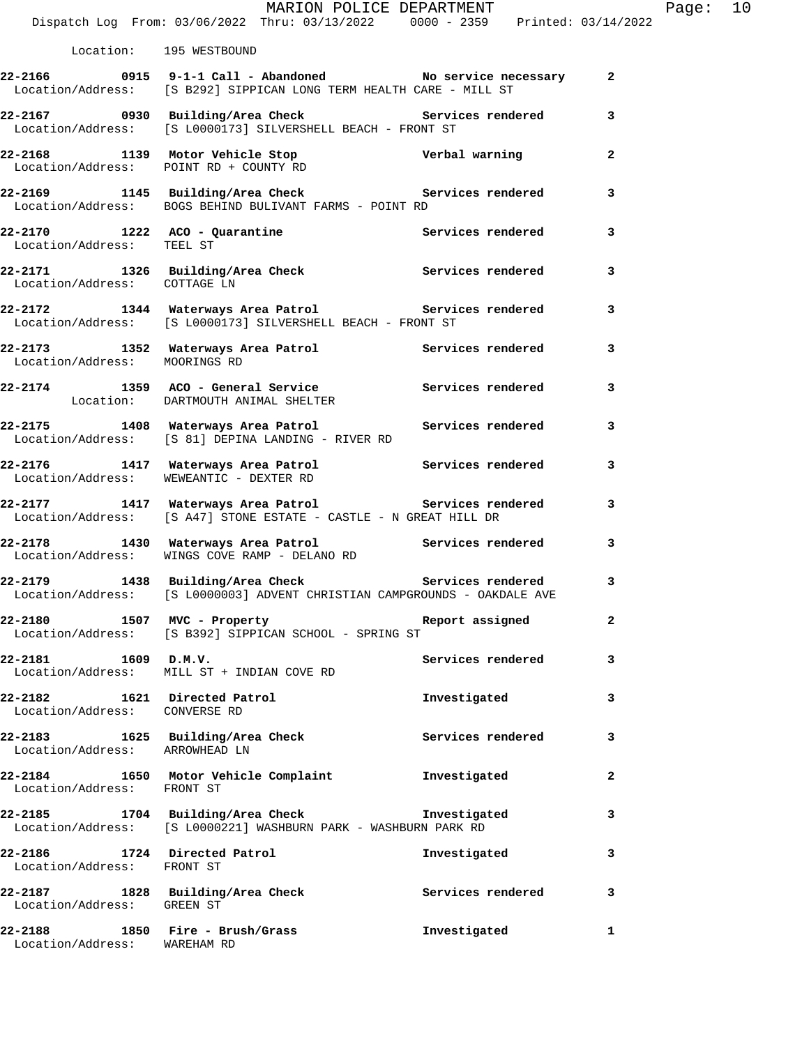|                                                                   | MARION POLICE DEPARTMENT<br>Dispatch Log From: 03/06/2022 Thru: 03/13/2022 0000 - 2359 Printed: 03/14/2022                                 |                   |              | Page: 10 |  |
|-------------------------------------------------------------------|--------------------------------------------------------------------------------------------------------------------------------------------|-------------------|--------------|----------|--|
| Location: 195 WESTBOUND                                           |                                                                                                                                            |                   |              |          |  |
|                                                                   | 22-2166 0915 9-1-1 Call - Abandoned No service necessary 2<br>Location/Address: [S B292] SIPPICAN LONG TERM HEALTH CARE - MILL ST          |                   |              |          |  |
|                                                                   | 22-2167 0930 Building/Area Check 6 Services rendered 3<br>Location/Address: [S L0000173] SILVERSHELL BEACH - FRONT ST                      |                   |              |          |  |
|                                                                   | 22-2168 1139 Motor Vehicle Stop Verbal warning 2<br>Location/Address: POINT RD + COUNTY RD                                                 |                   |              |          |  |
|                                                                   | 22-2169 1145 Building/Area Check Services rendered<br>Location/Address: BOGS BEHIND BULIVANT FARMS - POINT RD                              |                   | 3            |          |  |
| Location/Address: TEEL ST                                         | 22-2170 1222 ACO - Quarantine Services rendered 3                                                                                          |                   |              |          |  |
|                                                                   | 22-2171 1326 Building/Area Check Services rendered 3<br>Location/Address: COTTAGE LN                                                       |                   |              |          |  |
|                                                                   | 22-2172 1344 Waterways Area Patrol Services rendered 3<br>Location/Address: [S L0000173] SILVERSHELL BEACH - FRONT ST                      |                   |              |          |  |
|                                                                   | 22-2173 1352 Waterways Area Patrol Services rendered 3<br>Location/Address: MOORINGS RD                                                    |                   |              |          |  |
|                                                                   | 22-2174 1359 ACO - General Service and Services rendered<br>Location: DARTMOUTH ANIMAL SHELTER                                             |                   | 3            |          |  |
|                                                                   | 22-2175 1408 Waterways Area Patrol Services rendered 3<br>Location/Address: [S 81] DEPINA LANDING - RIVER RD                               |                   |              |          |  |
|                                                                   | 22-2176 1417 Waterways Area Patrol Services rendered 3<br>Location/Address: WEWEANTIC - DEXTER RD                                          |                   |              |          |  |
|                                                                   | 22-2177 1417 Waterways Area Patrol 22-2177 1417 Waterways Area Patrol<br>Location/Address: [S A47] STONE ESTATE - CASTLE - N GREAT HILL DR |                   |              |          |  |
|                                                                   | 22-2178 1430 Waterways Area Patrol Services rendered<br>Location/Address: WINGS COVE RAMP - DELANO RD                                      |                   | 3            |          |  |
|                                                                   | 22-2179 1438 Building/Area Check Services rendered 3<br>Location/Address: [S L0000003] ADVENT CHRISTIAN CAMPGROUNDS - OAKDALE AVE          |                   |              |          |  |
|                                                                   | 22-2180 1507 MVC - Property<br>Location/Address: [S B392] SIPPICAN SCHOOL - SPRING ST                                                      | Report assigned   | 2            |          |  |
| 22-2181 1609 D.M.V.                                               | Location/Address: MILL ST + INDIAN COVE RD                                                                                                 | Services rendered | 3            |          |  |
| Location/Address: CONVERSE RD                                     | 22-2182 1621 Directed Patrol                                                                                                               | Investigated      | 3            |          |  |
| Location/Address: ARROWHEAD LN                                    | 22-2183 1625 Building/Area Check 5ervices rendered                                                                                         |                   | 3            |          |  |
| Location/Address: FRONT ST                                        | 22-2184 1650 Motor Vehicle Complaint 1nvestigated                                                                                          |                   | $\mathbf{2}$ |          |  |
|                                                                   | 22-2185 1704 Building/Area Check 1nvestigated<br>Location/Address: [S L0000221] WASHBURN PARK - WASHBURN PARK RD                           |                   | 3            |          |  |
| Location/Address: FRONT ST                                        | 22-2186 1724 Directed Patrol                                                                                                               | Investigated      | 3            |          |  |
| Location/Address: GREEN ST                                        | 22-2187 1828 Building/Area Check 1997 Services rendered 3                                                                                  |                   |              |          |  |
| $22-2188$ 1850 Fire - Brush/Grass<br>Location/Address: WAREHAM RD |                                                                                                                                            | Investigated      | 1            |          |  |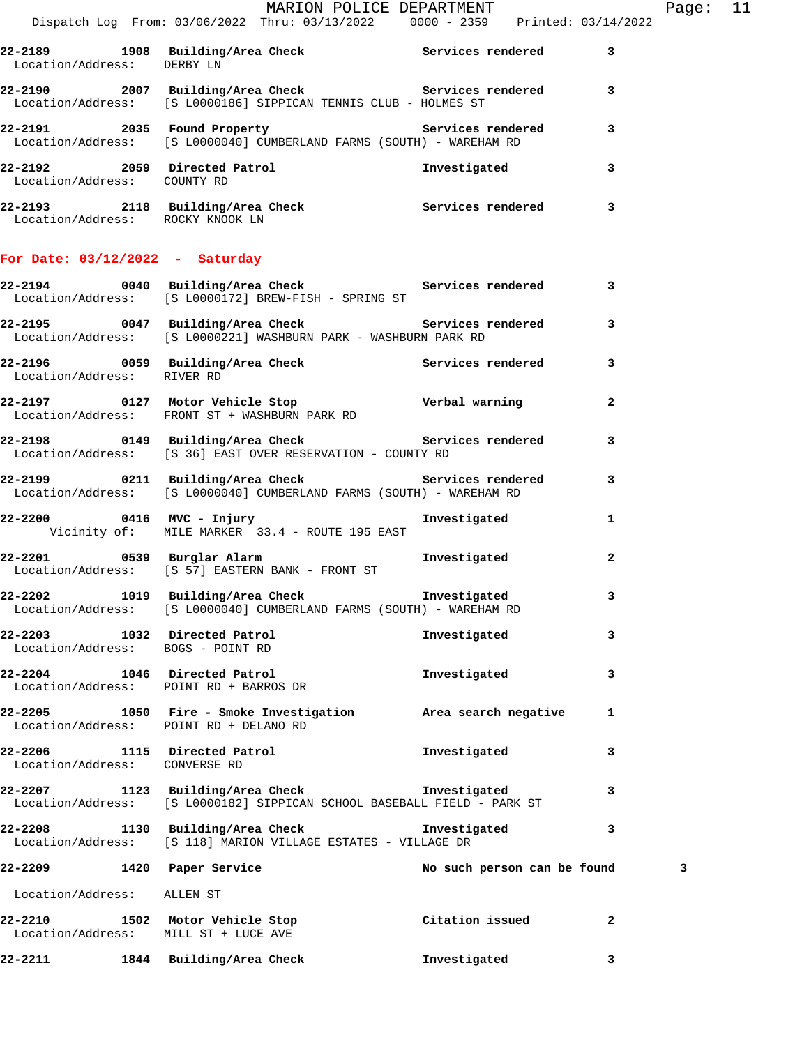|                                                                         | MARION POLICE DEPARTMENT<br>Dispatch Log From: 03/06/2022 Thru: 03/13/2022 0000 - 2359 Printed: 03/14/2022                     |                             |              | Page: 11 |  |
|-------------------------------------------------------------------------|--------------------------------------------------------------------------------------------------------------------------------|-----------------------------|--------------|----------|--|
| Location/Address: DERBY LN                                              | 22-2189 1908 Building/Area Check Services rendered 3                                                                           |                             |              |          |  |
|                                                                         | 22-2190 2007 Building/Area Check Services rendered 3<br>Location/Address: [S L0000186] SIPPICAN TENNIS CLUB - HOLMES ST        |                             |              |          |  |
|                                                                         | 22-2191 2035 Found Property Services rendered 3<br>Location/Address: [S L0000040] CUMBERLAND FARMS (SOUTH) - WAREHAM RD        |                             |              |          |  |
| Location/Address: COUNTY RD                                             | 22-2192 2059 Directed Patrol 2005 2059 2012 1nvestigated 3                                                                     |                             |              |          |  |
|                                                                         | 22-2193 2118 Building/Area Check Services rendered 3<br>Location/Address: ROCKY KNOOK LN                                       |                             |              |          |  |
| For Date: $03/12/2022 -$ Saturday                                       |                                                                                                                                |                             |              |          |  |
|                                                                         | 22-2194 0040 Building/Area Check Services rendered 3<br>Location/Address: [S L0000172] BREW-FISH - SPRING ST                   |                             |              |          |  |
|                                                                         | 22-2195 0047 Building/Area Check 5ervices rendered 3<br>Location/Address: [S L0000221] WASHBURN PARK - WASHBURN PARK RD        |                             |              |          |  |
| Location/Address: RIVER RD                                              | 22-2196 0059 Building/Area Check Services rendered 3                                                                           |                             |              |          |  |
| Location/Address: FRONT ST + WASHBURN PARK RD                           | 22-2197 0127 Motor Vehicle Stop <b>128 Verbal warning</b>                                                                      |                             | $\mathbf{2}$ |          |  |
|                                                                         | 22-2198 		 0149 Building/Area Check 		 Services rendered 3<br>Location/Address: [S 36] EAST OVER RESERVATION - COUNTY RD       |                             |              |          |  |
|                                                                         | 22-2199 0211 Building/Area Check 6 Services rendered 3<br>Location/Address: [S L0000040] CUMBERLAND FARMS (SOUTH) - WAREHAM RD |                             |              |          |  |
|                                                                         | 22-2200 0416 MVC - Injury<br>Vicinity of: MILE MARKER 33.4 - ROUTE 195 EAST                                                    | Investigated                | 1            |          |  |
| Location/Address: [S 57] EASTERN BANK - FRONT ST                        | 22-2201 0539 Burglar Alarm                                                                                                     | Investigated                | $\mathbf{2}$ |          |  |
|                                                                         | 22-2202 1019 Building/Area Check Threstigated<br>Location/Address: [S L0000040] CUMBERLAND FARMS (SOUTH) - WAREHAM RD          |                             | 3            |          |  |
| 22-2203 1032 Directed Patrol<br>Location/Address: BOGS - POINT RD       |                                                                                                                                | Investigated                | 3            |          |  |
| 22-2204 1046 Directed Patrol<br>Location/Address: POINT RD + BARROS DR  |                                                                                                                                | Investigated                | 3            |          |  |
| Location/Address: POINT RD + DELANO RD                                  | 22-2205 1050 Fire - Smoke Investigation area search negative                                                                   |                             | 1            |          |  |
| 22-2206 1115 Directed Patrol<br>Location/Address: CONVERSE RD           |                                                                                                                                | Investigated                | 3            |          |  |
|                                                                         | 22-2207 1123 Building/Area Check Threstigated<br>Location/Address: [S L0000182] SIPPICAN SCHOOL BASEBALL FIELD - PARK ST       |                             | 3            |          |  |
|                                                                         | 22-2208 1130 Building/Area Check 1nvestigated<br>Location/Address: [S 118] MARION VILLAGE ESTATES - VILLAGE DR                 |                             | 3            |          |  |
| 22-2209 1420 Paper Service                                              |                                                                                                                                | No such person can be found |              | 3        |  |
| Location/Address: ALLEN ST                                              |                                                                                                                                |                             |              |          |  |
| 22-2210 1502 Motor Vehicle Stop<br>Location/Address: MILL ST + LUCE AVE |                                                                                                                                | Citation issued             | 2            |          |  |

**22-2211 1844 Building/Area Check Investigated 3**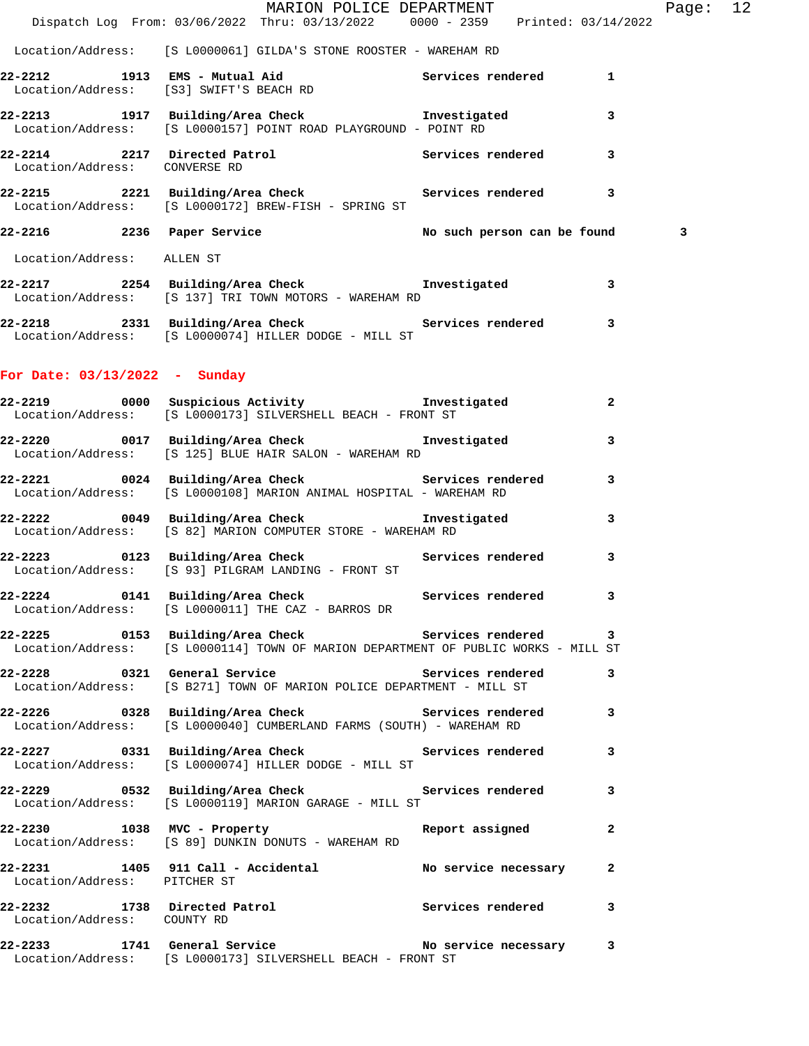|                                 | Dispatch Log From: 03/06/2022 Thru: 03/13/2022 0000 - 2359 Printed: 03/14/2022                                                             | MARION POLICE DEPARTMENT |              | Page: 12 |  |
|---------------------------------|--------------------------------------------------------------------------------------------------------------------------------------------|--------------------------|--------------|----------|--|
|                                 | Location/Address: [S L0000061] GILDA'S STONE ROOSTER - WAREHAM RD                                                                          |                          |              |          |  |
|                                 | 22-2212 1913 EMS - Mutual Aid<br>Location/Address: [S3] SWIFT'S BEACH RD<br>Cocation/Address: [S3] SWIFT'S BEACH RD                        |                          |              |          |  |
|                                 | 22-2213 1917 Building/Area Check 1nvestigated 3<br>Location/Address: [S L0000157] POINT ROAD PLAYGROUND - POINT RD                         |                          |              |          |  |
| Location/Address: CONVERSE RD   | 22-2214 2217 Directed Patrol 2217 Services rendered 3                                                                                      |                          |              |          |  |
|                                 | 22-2215 2221 Building/Area Check 5 Services rendered 3<br>Location/Address: [S L0000172] BREW-FISH - SPRING ST                             |                          |              |          |  |
|                                 | 22-2216 2236 Paper Service No such person can be found                                                                                     |                          |              | 3        |  |
| Location/Address: ALLEN ST      |                                                                                                                                            |                          |              |          |  |
|                                 | 22-2217 2254 Building/Area Check <b>The Investigated</b> 3<br>Location/Address: [S 137] TRI TOWN MOTORS - WAREHAM RD                       |                          |              |          |  |
|                                 | 22-2218 2331 Building/Area Check 5ervices rendered 3<br>Location/Address: [S L0000074] HILLER DODGE - MILL ST                              |                          |              |          |  |
| For Date: $03/13/2022 - Sunday$ |                                                                                                                                            |                          |              |          |  |
|                                 | 22-2219 0000 Suspicious Activity <b>Example 22-2219</b> 1nvestigated<br>Location/Address: [S L0000173] SILVERSHELL BEACH - FRONT ST        |                          | $\mathbf{2}$ |          |  |
|                                 | 22-2220 0017 Building/Area Check 5 Investigated<br>Location/Address: [S 125] BLUE HAIR SALON - WAREHAM RD                                  |                          | $\mathbf{3}$ |          |  |
|                                 | 22-2221 0024 Building/Area Check 5ervices rendered 3<br>Location/Address: [S L0000108] MARION ANIMAL HOSPITAL - WAREHAM RD                 |                          |              |          |  |
|                                 | 22-2222 0049 Building/Area Check https://www.filteral.com/<br>Location/Address: [S 82] MARION COMPUTER STORE - WAREHAM RD                  |                          | $\mathbf{3}$ |          |  |
|                                 | 22-2223 0123 Building/Area Check 6 Services rendered 3<br>Location/Address: [S 93] PILGRAM LANDING - FRONT ST                              |                          |              |          |  |
|                                 | 22-2224 0141 Building/Area Check 6 Services rendered 3<br>Location/Address: [S L0000011] THE CAZ - BARROS DR                               |                          |              |          |  |
|                                 | 22-2225 0153 Building/Area Check 5ervices rendered 3<br>Location/Address: [S L0000114] TOWN OF MARION DEPARTMENT OF PUBLIC WORKS - MILL ST |                          |              |          |  |
|                                 | 22-2228 			 0321 General Service 						 Services rendered 		 3<br>Location/Address: [S B271] TOWN OF MARION POLICE DEPARTMENT - MILL ST    |                          |              |          |  |
|                                 | Location/Address: [S L0000040] CUMBERLAND FARMS (SOUTH) - WAREHAM RD                                                                       |                          |              |          |  |
|                                 | 22-2227 0331 Building/Area Check 6 Services rendered 3<br>Location/Address: [S L0000074] HILLER DODGE - MILL ST                            |                          |              |          |  |
|                                 | 22-2229 		 0532 Building/Area Check 		 Services rendered 3<br>Location/Address: [S L0000119] MARION GARAGE - MILL ST                       |                          |              |          |  |
|                                 | 22-2230 1038 MVC - Property 1 Report assigned 2<br>Location/Address: [S 89] DUNKIN DONUTS - WAREHAM RD                                     |                          |              |          |  |
| Location/Address: PITCHER ST    | 22-2231 1405 911 Call - Accidental No service necessary 2                                                                                  |                          |              |          |  |
| Location/Address: COUNTY RD     | 22-2232 1738 Directed Patrol <b>1988</b> Services rendered 3                                                                               |                          |              |          |  |
|                                 | 22-2233 1741 General Service No service necessary 3<br>Location/Address: [S L0000173] SILVERSHELL BEACH - FRONT ST                         |                          |              |          |  |